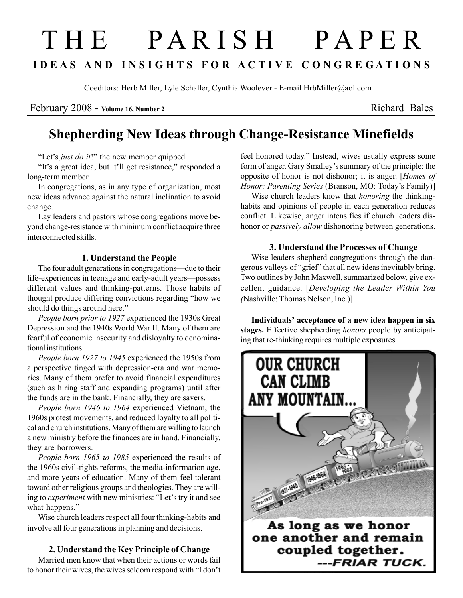# T H E P A R I S H P A P E R I D E A S A N D I N S I G H T S F O R A C T I V E C O N G R E G A T I O N S

Coeditors: Herb Miller, Lyle Schaller, Cynthia Woolever - E-mail HrbMiller@aol.com

February 2008 - Volume 16, Number 2 Richard Bales

## Shepherding New Ideas through Change-Resistance Minefields

"Let's *just do it!*" the new member quipped.

"It's a great idea, but it'll get resistance," responded a long-term member.

In congregations, as in any type of organization, most new ideas advance against the natural inclination to avoid change.

Lay leaders and pastors whose congregations move beyond change-resistance with minimum conflict acquire three interconnected skills.

#### 1. Understand the People

The four adult generations in congregations—due to their life-experiences in teenage and early-adult years—possess different values and thinking-patterns. Those habits of thought produce differing convictions regarding "how we should do things around here."

People born prior to 1927 experienced the 1930s Great Depression and the 1940s World War II. Many of them are fearful of economic insecurity and disloyalty to denominational institutions.

People born 1927 to 1945 experienced the 1950s from a perspective tinged with depression-era and war memories. Many of them prefer to avoid financial expenditures (such as hiring staff and expanding programs) until after the funds are in the bank. Financially, they are savers.

People born 1946 to 1964 experienced Vietnam, the 1960s protest movements, and reduced loyalty to all political and church institutions. Many of them are willing to launch a new ministry before the finances are in hand. Financially, they are borrowers.

People born 1965 to 1985 experienced the results of the 1960s civil-rights reforms, the media-information age, and more years of education. Many of them feel tolerant toward other religious groups and theologies. They are willing to experiment with new ministries: "Let's try it and see what happens."

Wise church leaders respect all four thinking-habits and involve all four generations in planning and decisions.

#### 2. Understand the Key Principle of Change

Married men know that when their actions or words fail to honor their wives, the wives seldom respond with "I don't feel honored today." Instead, wives usually express some form of anger. Gary Smalley's summary of the principle: the opposite of honor is not dishonor; it is anger. [Homes of Honor: Parenting Series (Branson, MO: Today's Family)]

Wise church leaders know that honoring the thinkinghabits and opinions of people in each generation reduces conflict. Likewise, anger intensifies if church leaders dishonor or *passively allow* dishonoring between generations.

### 3. Understand the Processes of Change

Wise leaders shepherd congregations through the dangerous valleys of "grief" that all new ideas inevitably bring. Two outlines by John Maxwell, summarized below, give excellent guidance. [Developing the Leader Within You (Nashville: Thomas Nelson, Inc.)]

Individuals' acceptance of a new idea happen in six stages. Effective shepherding *honors* people by anticipating that re-thinking requires multiple exposures.